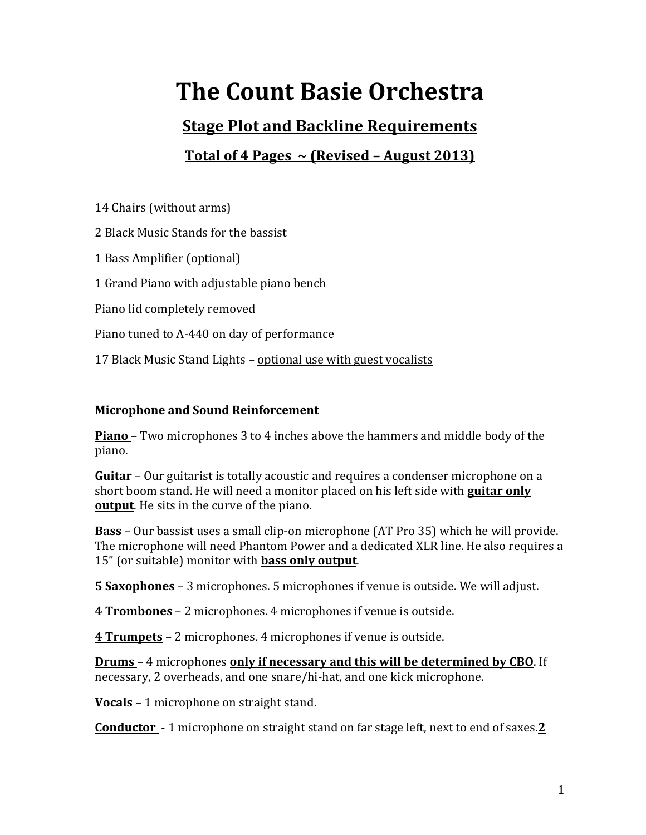# **The Count Basie Orchestra**

## **Stage Plot and Backline Requirements**

### **Total\$of\$4\$Pages\$\$~\$(Revised\$– August\$2013)**

14 Chairs (without arms)

2 Black Music Stands for the bassist

1 Bass Amplifier (optional)

1 Grand Piano with adjustable piano bench

Piano lid completely removed

Piano tuned to A-440 on day of performance

17 Black Music Stand Lights – optional use with guest vocalists

#### **Microphone and Sound Reinforcement**

**Piano** – Two microphones 3 to 4 inches above the hammers and middle body of the piano.

**Guitar** – Our guitarist is totally acoustic and requires a condenser microphone on a short boom stand. He will need a monitor placed on his left side with **guitar only output**. He sits in the curve of the piano.

**Bass** – Our bassist uses a small clip-on microphone (AT Pro 35) which he will provide. The microphone will need Phantom Power and a dedicated XLR line. He also requires a 15" (or suitable) monitor with **bass only output**.

**5 Saxophones** – 3 microphones. 5 microphones if venue is outside. We will adjust.

**4 Trombones** – 2 microphones. 4 microphones if venue is outside.

**4 Trumpets** – 2 microphones. 4 microphones if venue is outside.

**Drums** – 4 microphones only if necessary and this will be determined by CBO. If necessary, 2 overheads, and one snare/hi-hat, and one kick microphone.

**Vocals** – 1 microphone on straight stand.

**Conductor** - 1 microphone on straight stand on far stage left, next to end of saxes. 2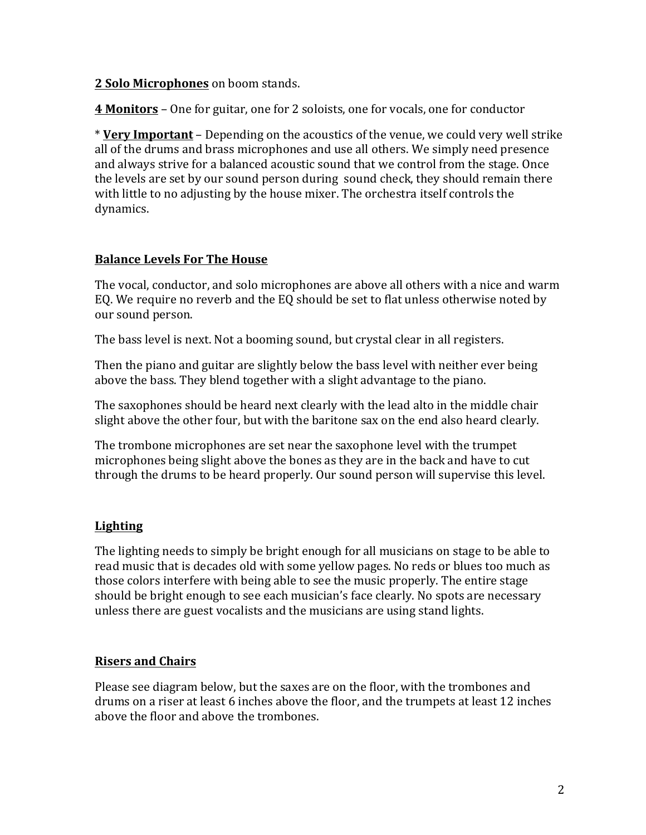**2 Solo Microphones** on boom stands.

**4 Monitors** – One for guitar, one for 2 soloists, one for vocals, one for conductor

\* **Very Important** – Depending on the acoustics of the venue, we could very well strike all of the drums and brass microphones and use all others. We simply need presence and always strive for a balanced acoustic sound that we control from the stage. Once the levels are set by our sound person during sound check, they should remain there with little to no adjusting by the house mixer. The orchestra itself controls the dynamics.

#### **Balance Levels For The House**

The vocal, conductor, and solo microphones are above all others with a nice and warm EQ. We require no reverb and the EQ should be set to flat unless otherwise noted by our sound person.

The bass level is next. Not a booming sound, but crystal clear in all registers.

Then the piano and guitar are slightly below the bass level with neither ever being above the bass. They blend together with a slight advantage to the piano.

The saxophones should be heard next clearly with the lead alto in the middle chair slight above the other four, but with the baritone sax on the end also heard clearly.

The trombone microphones are set near the saxophone level with the trumpet microphones being slight above the bones as they are in the back and have to cut through the drums to be heard properly. Our sound person will supervise this level.

#### **Lighting**

The lighting needs to simply be bright enough for all musicians on stage to be able to read music that is decades old with some yellow pages. No reds or blues too much as those colors interfere with being able to see the music properly. The entire stage should be bright enough to see each musician's face clearly. No spots are necessary unless there are guest vocalists and the musicians are using stand lights.

#### **Risers and Chairs**

Please see diagram below, but the saxes are on the floor, with the trombones and drums on a riser at least 6 inches above the floor, and the trumpets at least 12 inches above the floor and above the trombones.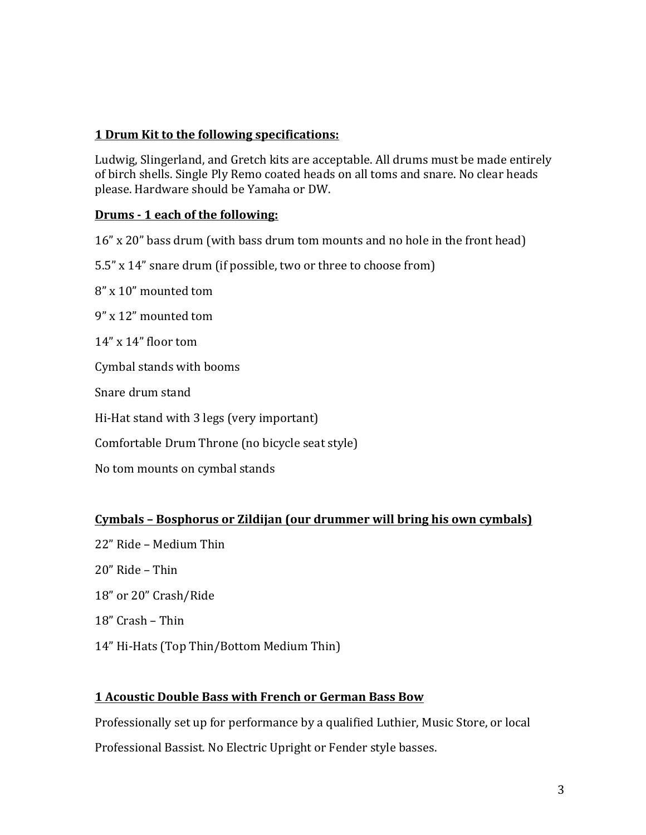#### **1 Drum Kit to the following specifications:**

Ludwig, Slingerland, and Gretch kits are acceptable. All drums must be made entirely of birch shells. Single Ply Remo coated heads on all toms and snare. No clear heads please. Hardware should be Yamaha or DW.

#### **Drums** - 1 each of the following:

16" x 20" bass drum (with bass drum tom mounts and no hole in the front head)

5.5" x 14" snare drum (if possible, two or three to choose from)

8" x 10" mounted tom

9" x 12" mounted tom

 $14"$  x  $14"$  floor tom

Cymbal stands with booms

Snare drum stand

Hi-Hat stand with 3 legs (very important)

Comfortable Drum Throne (no bicycle seat style)

No tom mounts on cymbal stands

#### **Cymbals – Bosphorus or Zildijan (our drummer will bring his own cymbals)**

- 22" Ride Medium Thin
- $20"$  Ride Thin
- 18" or 20" Crash/Ride
- 18" Crash Thin
- 14" Hi-Hats (Top Thin/Bottom Medium Thin)

#### **1 Acoustic Double Bass with French or German Bass Bow**

Professionally set up for performance by a qualified Luthier, Music Store, or local Professional Bassist. No Electric Upright or Fender style basses.